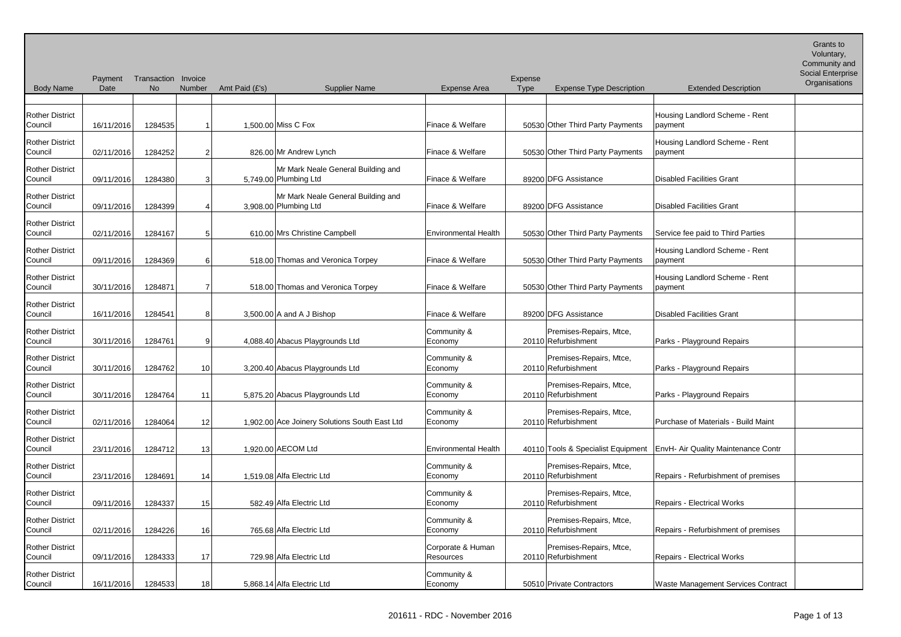| <b>Body Name</b>                  | Payment<br>Date | Transaction Invoice<br><b>No</b> | Number          | Amt Paid (£'s) | <b>Supplier Name</b>                                        | <b>Expense Area</b>            | Expense<br><b>Type</b> | <b>Expense Type Description</b>                | <b>Extended Description</b>                                              | Social Enterprise<br>Organisations |
|-----------------------------------|-----------------|----------------------------------|-----------------|----------------|-------------------------------------------------------------|--------------------------------|------------------------|------------------------------------------------|--------------------------------------------------------------------------|------------------------------------|
|                                   |                 |                                  |                 |                |                                                             |                                |                        |                                                |                                                                          |                                    |
| <b>Rother District</b><br>Council | 16/11/2016      | 1284535                          |                 |                | 1,500.00 Miss C Fox                                         | Finace & Welfare               |                        | 50530 Other Third Party Payments               | Housing Landlord Scheme - Rent<br>payment                                |                                    |
| <b>Rother District</b><br>Council | 02/11/2016      | 1284252                          | 2               |                | 826.00 Mr Andrew Lynch                                      | Finace & Welfare               |                        | 50530 Other Third Party Payments               | Housing Landlord Scheme - Rent<br>payment                                |                                    |
| <b>Rother District</b><br>Council | 09/11/2016      | 1284380                          |                 |                | Mr Mark Neale General Building and<br>5,749.00 Plumbing Ltd | Finace & Welfare               |                        | 89200 DFG Assistance                           | Disabled Facilities Grant                                                |                                    |
| <b>Rother District</b><br>Council | 09/11/2016      | 1284399                          |                 |                | Mr Mark Neale General Building and<br>3,908.00 Plumbing Ltd | Finace & Welfare               |                        | 89200 DFG Assistance                           | Disabled Facilities Grant                                                |                                    |
| <b>Rother District</b><br>Council | 02/11/2016      | 1284167                          | 5               |                | 610.00 Mrs Christine Campbell                               | <b>Environmental Health</b>    |                        | 50530 Other Third Party Payments               | Service fee paid to Third Parties                                        |                                    |
| <b>Rother District</b><br>Council | 09/11/2016      | 1284369                          | 6               |                | 518.00 Thomas and Veronica Torpey                           | Finace & Welfare               |                        | 50530 Other Third Party Payments               | Housing Landlord Scheme - Rent<br>payment                                |                                    |
| <b>Rother District</b><br>Council | 30/11/2016      | 1284871                          |                 |                | 518.00 Thomas and Veronica Torpey                           | Finace & Welfare               |                        | 50530 Other Third Party Payments               | Housing Landlord Scheme - Rent<br>payment                                |                                    |
| <b>Rother District</b><br>Council | 16/11/2016      | 1284541                          | 8               |                | $3,500.00$ A and A J Bishop                                 | Finace & Welfare               |                        | 89200 DFG Assistance                           | Disabled Facilities Grant                                                |                                    |
| <b>Rother District</b><br>Council | 30/11/2016      | 1284761                          | 9               |                | 4,088.40 Abacus Playgrounds Ltd                             | Community &<br>Economy         |                        | Premises-Repairs, Mtce,<br>20110 Refurbishment | Parks - Playground Repairs                                               |                                    |
| <b>Rother District</b><br>Council | 30/11/2016      | 1284762                          | 10 <sup>1</sup> |                | 3,200.40 Abacus Playgrounds Ltd                             | Community &<br>Economy         |                        | Premises-Repairs, Mtce,<br>20110 Refurbishment | Parks - Playground Repairs                                               |                                    |
| <b>Rother District</b><br>Council | 30/11/2016      | 1284764                          | 11              |                | 5,875.20 Abacus Playgrounds Ltd                             | Community &<br>Economy         |                        | Premises-Repairs, Mtce,<br>20110 Refurbishment | Parks - Playground Repairs                                               |                                    |
| <b>Rother District</b><br>Council | 02/11/2016      | 1284064                          | 12              |                | 1,902.00 Ace Joinery Solutions South East Ltd               | Community &<br>Economy         |                        | Premises-Repairs, Mtce,<br>20110 Refurbishment | Purchase of Materials - Build Maint                                      |                                    |
| <b>Rother District</b><br>Council | 23/11/2016      | 1284712                          | 13 <sub>l</sub> |                | 1,920.00 AECOM Ltd                                          | <b>Environmental Health</b>    |                        |                                                | 40110 Tools & Specialist Equipment   EnvH- Air Quality Maintenance Contr |                                    |
| <b>Rother District</b><br>Council | 23/11/2016      | 1284691                          | 14              |                | 1,519.08 Alfa Electric Ltd                                  | Community &<br>Economy         |                        | Premises-Repairs, Mtce,<br>20110 Refurbishment | Repairs - Refurbishment of premises                                      |                                    |
| <b>Rother District</b><br>Council | 09/11/2016      | 1284337                          | 15              |                | 582.49 Alfa Electric Ltd                                    | Community &<br>Economy         |                        | Premises-Repairs, Mtce,<br>20110 Refurbishment | Repairs - Electrical Works                                               |                                    |
| <b>Rother District</b><br>Council | 02/11/2016      | 1284226                          | 16              |                | 765.68 Alfa Electric Ltd                                    | Community &<br>Economy         |                        | Premises-Repairs, Mtce,<br>20110 Refurbishment | Repairs - Refurbishment of premises                                      |                                    |
| <b>Rother District</b><br>Council | 09/11/2016      | 1284333                          | 17              |                | 729.98 Alfa Electric Ltd                                    | Corporate & Human<br>Resources |                        | Premises-Repairs, Mtce,<br>20110 Refurbishment | Repairs - Electrical Works                                               |                                    |
| <b>Rother District</b><br>Council | 16/11/2016      | 1284533                          | 18              |                | 5,868.14 Alfa Electric Ltd                                  | Community &<br>Economy         |                        | 50510 Private Contractors                      | <b>Waste Management Services Contract</b>                                |                                    |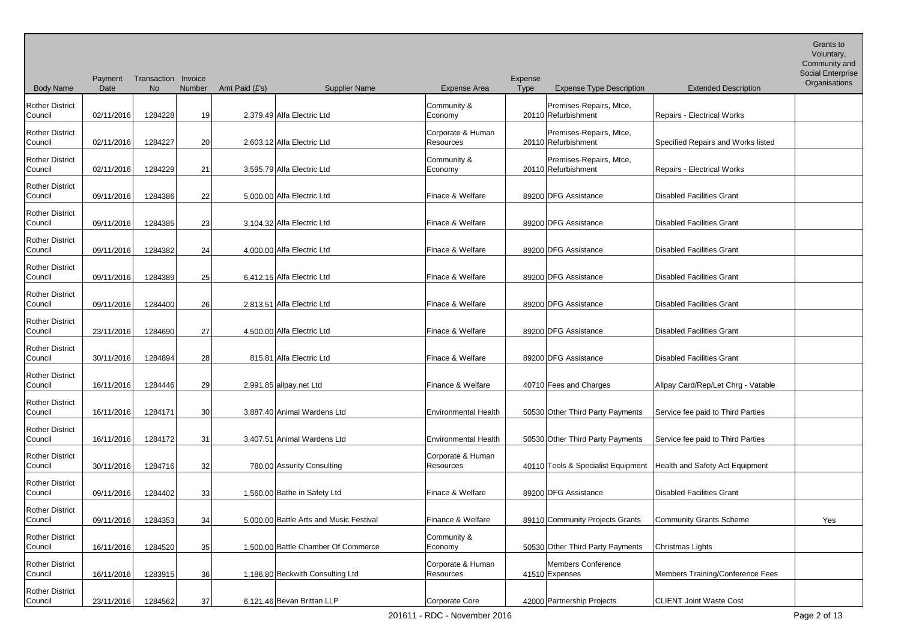Community and

| <b>Body Name</b>                  | Payment<br>Date | Transaction Invoice<br><b>No</b> | Number | Amt Paid (£'s) | <b>Supplier Name</b>                    | <b>Expense Area</b>                   | Expense<br><b>Expense Type Description</b><br><b>Type</b>            | <b>Extended Description</b>        | Social Enterprise<br>Organisations |
|-----------------------------------|-----------------|----------------------------------|--------|----------------|-----------------------------------------|---------------------------------------|----------------------------------------------------------------------|------------------------------------|------------------------------------|
| <b>Rother District</b><br>Council | 02/11/2016      | 1284228                          | 19     |                | 2,379.49 Alfa Electric Ltd              | Community &<br>Economy                | Premises-Repairs, Mtce,<br>20110 Refurbishment                       | Repairs - Electrical Works         |                                    |
| <b>Rother District</b><br>Council | 02/11/2016      | 1284227                          | 20     |                | 2,603.12 Alfa Electric Ltd              | Corporate & Human<br><b>Resources</b> | Premises-Repairs, Mtce,<br>20110 Refurbishment                       | Specified Repairs and Works listed |                                    |
| <b>Rother District</b><br>Council | 02/11/2016      | 1284229                          | 21     |                | 3,595.79 Alfa Electric Ltd              | Community &<br>Economy                | Premises-Repairs, Mtce,<br>20110 Refurbishment                       | <b>Repairs - Electrical Works</b>  |                                    |
| <b>Rother District</b><br>Council | 09/11/2016      | 1284386                          | 22     |                | 5,000.00 Alfa Electric Ltd              | Finace & Welfare                      | 89200 DFG Assistance                                                 | Disabled Facilities Grant          |                                    |
| <b>Rother District</b><br>Council | 09/11/2016      | 1284385                          | 23     |                | 3,104.32 Alfa Electric Ltd              | Finace & Welfare                      | 89200 DFG Assistance                                                 | Disabled Facilities Grant          |                                    |
| <b>Rother District</b><br>Council | 09/11/2016      | 1284382                          | 24     |                | 4,000.00 Alfa Electric Ltd              | Finace & Welfare                      | 89200 DFG Assistance                                                 | Disabled Facilities Grant          |                                    |
| <b>Rother District</b><br>Council | 09/11/2016      | 1284389                          | 25     |                | 6,412.15 Alfa Electric Ltd              | Finace & Welfare                      | 89200 DFG Assistance                                                 | Disabled Facilities Grant          |                                    |
| <b>Rother District</b><br>Council | 09/11/2016      | 1284400                          | 26     |                | 2,813.51 Alfa Electric Ltd              | Finace & Welfare                      | 89200 DFG Assistance                                                 | Disabled Facilities Grant          |                                    |
| <b>Rother District</b><br>Council | 23/11/2016      | 1284690                          | 27     |                | 4,500.00 Alfa Electric Ltd              | Finace & Welfare                      | 89200 DFG Assistance                                                 | Disabled Facilities Grant          |                                    |
| <b>Rother District</b><br>Council | 30/11/2016      | 1284894                          | 28     |                | 815.81 Alfa Electric Ltd                | Finace & Welfare                      | 89200 DFG Assistance                                                 | Disabled Facilities Grant          |                                    |
| <b>Rother District</b><br>Council | 16/11/2016      | 1284446                          | 29     |                | 2,991.85 allpay.net Ltd                 | Finance & Welfare                     | 40710 Fees and Charges                                               | Allpay Card/Rep/Let Chrg - Vatable |                                    |
| <b>Rother District</b><br>Council | 16/11/2016      | 1284171                          | 30     |                | 3,887.40 Animal Wardens Ltd             | <b>Environmental Health</b>           | 50530 Other Third Party Payments                                     | Service fee paid to Third Parties  |                                    |
| <b>Rother District</b><br>Council | 16/11/2016      | 1284172                          | 31     |                | 3,407.51 Animal Wardens Ltd             | <b>Environmental Health</b>           | 50530 Other Third Party Payments                                     | Service fee paid to Third Parties  |                                    |
| <b>Rother District</b><br>Council | 30/11/2016      | 1284716                          | 32     |                | 780.00 Assurity Consulting              | Corporate & Human<br>Resources        | 40110 Tools & Specialist Equipment   Health and Safety Act Equipment |                                    |                                    |
| <b>Rother District</b><br>Council | 09/11/2016      | 1284402                          | 33     |                | 1,560.00 Bathe in Safety Ltd            | Finace & Welfare                      | 89200 DFG Assistance                                                 | Disabled Facilities Grant          |                                    |
| <b>Rother District</b><br>Council | 09/11/2016      | 1284353                          | 34     |                | 5,000.00 Battle Arts and Music Festival | Finance & Welfare                     | 89110 Community Projects Grants                                      | Community Grants Scheme            | Yes                                |
| <b>Rother District</b><br>Council | 16/11/2016      | 1284520                          | 35     |                | 1,500.00 Battle Chamber Of Commerce     | Community &<br>Economy                | 50530 Other Third Party Payments                                     | Christmas Lights                   |                                    |
| <b>Rother District</b><br>Council | 16/11/2016      | 1283915                          | 36     |                | 1,186.80 Beckwith Consulting Ltd        | Corporate & Human<br>Resources        | Members Conference<br>41510 Expenses                                 | Members Training/Conference Fees   |                                    |
| <b>Rother District</b><br>Council | 23/11/2016      | 1284562                          | 37     |                | 6,121.46 Bevan Brittan LLP              | Corporate Core                        | 42000 Partnership Projects                                           | <b>CLIENT Joint Waste Cost</b>     |                                    |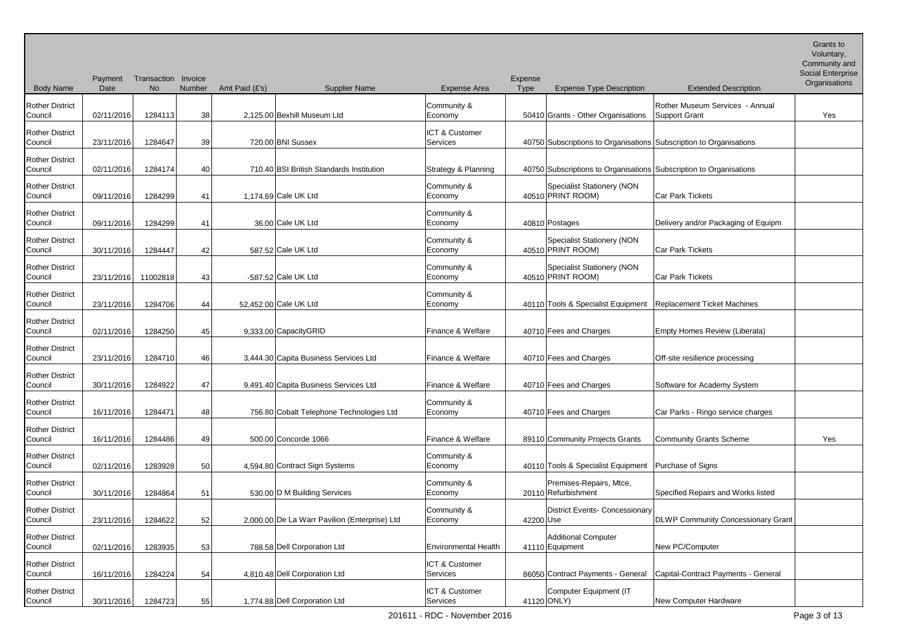Body Name Payment Transaction Invoice Date No Number Amt Paid (£'s) Supplier Name Expense Area Expense Type Expense Type Description Extended Description Grants to Voluntary, Community and Social Enterprise **Organisations** Rother District Council 02/11/2016 1284113 38 2,125.00 Bexhill Museum Ltd Community & Economy 1990 50410 Grants - Other Organisations Rother Museum Services - Annual Support Grant New Yes Rother District Council 23/11/2016 1284647 39 720.00 BNI Sussex ICT & Customer Services 1986 10750 Subscriptions to Organisations Subscription to Organisations Rother District Council 02/11/2016 1284174 40 710.40 BSI British Standards Institution Strategy & Planning 40750 Subscriptions to Organisations Subscription to Organisations Rother District Council 09/11/2016 1284299 41 1,174.69 Cale UK Ltd Community & Economy 1 40510 PRINT ROOM) Specialist Stationery (NON **Car Park Tickets** Rother District Council 09/11/2016 1284299 41 36.00 Cale UK Ltd Community & Economy 19810 Postages Delivery and/or Packaging of Equipm Rother District Council 30/11/2016 1284447 42 587.52 Cale UK Ltd Community & Economy 40510 PRINT ROOM) Specialist Stationery (NON **Car Park Tickets** Rother District Council 23/11/2016 11002818 43 -587.52 Cale UK Ltd Community & Economy Specialist Stationery (NON 40510 PRINT ROOM) Car Park Tickets Rother District Council 23/11/2016 1284706 44 52,452.00 Cale UK Ltd Community & Economy 1990 10110 Tools & Specialist Equipment Replacement Ticket Machines Rother District Council | 02/11/2016 1284250 45 9,333.00 CapacityGRID Finance & Welfare 40710 Fees and Charges Empty Homes Review (Liberata) Rother District Council | 23/11/2016 1284710 46 3,444.30 Capita Business Services Ltd Finance & Welfare 40710 Fees and Charges | Off-site resilience processing Rother District Council 130/11/2016 1284922 47 9,491.40 Capita Business Services Ltd Finance & Welfare 40710 Fees and Charges Software for Academy System Rother District Council 16/11/2016 1284471 48 756.80 Cobalt Telephone Technologies Ltd Community & Economy 40710 Fees and Charges Car Parks - Ringo service charges Rother District Council 16/11/2016 1284486 49 500.00 Concorde 1066 Finance & Welfare 89110 Community Projects Grants Community Grants Scheme Yes Rother District Council 02/11/2016 1283928 50 4,594.80 Contract Sign Systems Community & Economy 10110 Tools & Specialist Equipment Purchase of Signs Rother District Council 30/11/2016 1284864 51 530.00 D M Building Services Community & Economy 20110 Refurbishment Premises-Repairs, Mtce, Specified Repairs and Works listed Rother District Council 23/11/2016 1284622 52 2,000.00 De La Warr Pavilion (Enterprise) Ltd Community & Economy | 42200 Use District Events- Concessionary DLWP Community Concessionary Grant Rother District Council | 02/11/2016 1283935 53 788.58 Dell Corporation Ltd Environmental Health 41110 Equipment Additional Computer New PC/Computer Rother District Council 16/11/2016 1284224 54 4,810.48 Dell Corporation Ltd ICT & Customer Services 86050 Contract Payments - General Capital-Contract Payments - General Rother District Council 30/11/2016 1284723 55 1,774.88 Dell Corporation Ltd ICT & Customer Services | 41120 ONLY) Computer Equipment (IT **New Computer Hardware**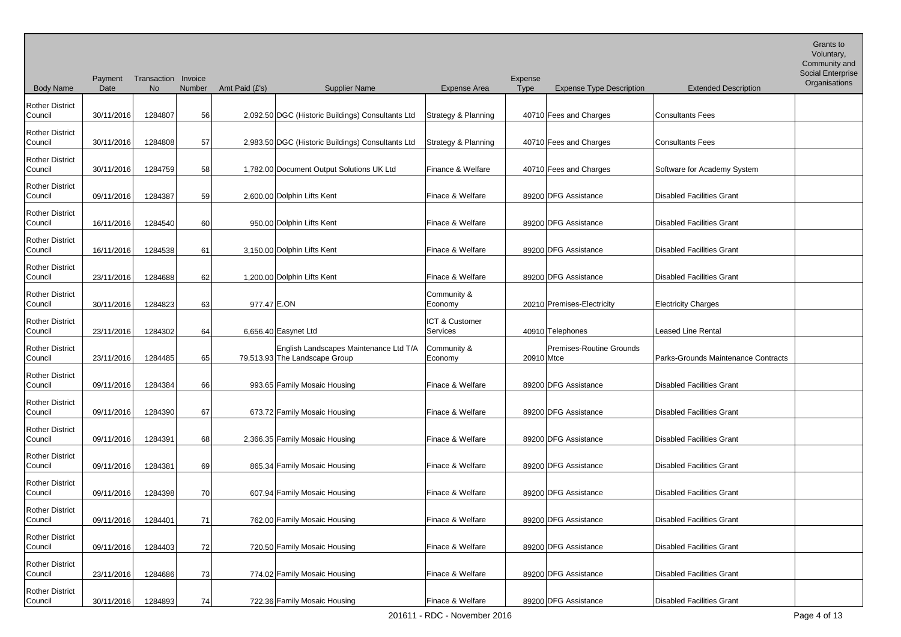Social Enterprise Organisations

| <b>Body Name</b>                  | Date       | <b>No</b> | Number | Amt Paid (£'s) | <b>Supplier Name</b>                                                    | <b>Expense Area</b>            | <b>Type</b> | <b>Expense Type Description</b> | <b>Extended Description</b>         | Uiyanisat |
|-----------------------------------|------------|-----------|--------|----------------|-------------------------------------------------------------------------|--------------------------------|-------------|---------------------------------|-------------------------------------|-----------|
| <b>Rother District</b><br>Council | 30/11/2016 | 1284807   | 56     |                | 2,092.50 DGC (Historic Buildings) Consultants Ltd                       | Strategy & Planning            |             | 40710 Fees and Charges          | <b>Consultants Fees</b>             |           |
| <b>Rother District</b><br>Council | 30/11/2016 | 1284808   | 57     |                | 2,983.50 DGC (Historic Buildings) Consultants Ltd                       | <b>Strategy &amp; Planning</b> |             | 40710 Fees and Charges          | Consultants Fees                    |           |
| <b>Rother District</b><br>Council | 30/11/2016 | 1284759   | 58     |                | 1,782.00 Document Output Solutions UK Ltd                               | Finance & Welfare              |             | 40710 Fees and Charges          | Software for Academy System         |           |
| <b>Rother District</b><br>Council | 09/11/2016 | 1284387   | 59     |                | 2,600.00 Dolphin Lifts Kent                                             | Finace & Welfare               |             | 89200 DFG Assistance            | <b>Disabled Facilities Grant</b>    |           |
| <b>Rother District</b><br>Council | 16/11/2016 | 1284540   | 60     |                | 950.00 Dolphin Lifts Kent                                               | Finace & Welfare               |             | 89200 DFG Assistance            | <b>Disabled Facilities Grant</b>    |           |
| <b>Rother District</b><br>Council | 16/11/2016 | 1284538   | 61     |                | 3,150.00 Dolphin Lifts Kent                                             | Finace & Welfare               |             | 89200 DFG Assistance            | <b>Disabled Facilities Grant</b>    |           |
| <b>Rother District</b><br>Council | 23/11/2016 | 1284688   | 62     |                | 1,200.00 Dolphin Lifts Kent                                             | Finace & Welfare               |             | 89200 DFG Assistance            | <b>Disabled Facilities Grant</b>    |           |
| <b>Rother District</b><br>Council | 30/11/2016 | 1284823   | 63     | 977.47 E.ON    |                                                                         | Community &<br>Economy         |             | 20210 Premises-Electricity      | <b>Electricity Charges</b>          |           |
| <b>Rother District</b><br>Council | 23/11/2016 | 1284302   | 64     |                | 6,656.40 Easynet Ltd                                                    | ICT & Customer<br>Services     |             | 40910 Telephones                | <b>Leased Line Rental</b>           |           |
| <b>Rother District</b><br>Council | 23/11/2016 | 1284485   | 65     |                | English Landscapes Maintenance Ltd T/A<br>79,513.93 The Landscape Group | Community &<br>Economy         | 20910 Mtce  | Premises-Routine Grounds        | Parks-Grounds Maintenance Contracts |           |
| <b>Rother District</b><br>Council | 09/11/2016 | 1284384   | 66     |                | 993.65 Family Mosaic Housing                                            | Finace & Welfare               |             | 89200 DFG Assistance            | <b>Disabled Facilities Grant</b>    |           |
| <b>Rother District</b><br>Council | 09/11/2016 | 1284390   | 67     |                | 673.72 Family Mosaic Housing                                            | Finace & Welfare               |             | 89200 DFG Assistance            | <b>Disabled Facilities Grant</b>    |           |
| <b>Rother District</b><br>Council | 09/11/2016 | 1284391   | 68     |                | 2,366.35 Family Mosaic Housing                                          | Finace & Welfare               |             | 89200 DFG Assistance            | Disabled Facilities Grant           |           |
| <b>Rother District</b><br>Council | 09/11/2016 | 1284381   | 69     |                | 865.34 Family Mosaic Housing                                            | Finace & Welfare               |             | 89200 DFG Assistance            | Disabled Facilities Grant           |           |
| <b>Rother District</b><br>Council | 09/11/2016 | 1284398   | 70     |                | 607.94 Family Mosaic Housing                                            | Finace & Welfare               |             | 89200 DFG Assistance            | <b>Disabled Facilities Grant</b>    |           |
| <b>Rother District</b><br>Council | 09/11/2016 | 1284401   | 71     |                | 762.00 Family Mosaic Housing                                            | Finace & Welfare               |             | 89200 DFG Assistance            | <b>Disabled Facilities Grant</b>    |           |
| <b>Rother District</b><br>Council | 09/11/2016 | 1284403   | 72     |                | 720.50 Family Mosaic Housing                                            | Finace & Welfare               |             | 89200 DFG Assistance            | <b>Disabled Facilities Grant</b>    |           |
| <b>Rother District</b><br>Council | 23/11/2016 | 1284686   | 73     |                | 774.02 Family Mosaic Housing                                            | Finace & Welfare               |             | 89200 DFG Assistance            | <b>Disabled Facilities Grant</b>    |           |
| <b>Rother District</b>            |            |           |        |                |                                                                         |                                |             |                                 |                                     |           |

Expense

Payment Transaction Invoice

Council 130/11/2016 1284893 74 722.36 Family Mosaic Housing Finace & Welfare 89200 DFG Assistance Disabled Facilities Grant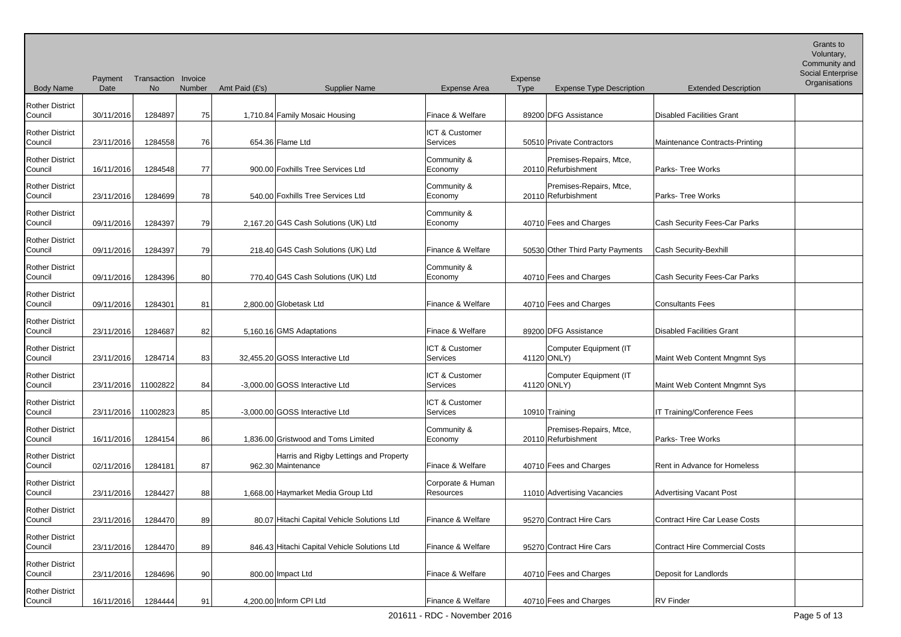Body Name Payment Transaction Invoice Date No Number Amt Paid (£'s) Supplier Name Expense Area Expense Type Expense Type Description Extended Description Voluntary, Community and Social Enterprise **Organisations** Rother District Council 130/11/2016 1284897 75 1,710.84 Family Mosaic Housing Finace & Welfare 89200 DFG Assistance Disabled Facilities Grant Rother District Council 23/11/2016 1284558 76 654.36 Flame Ltd ICT & Customer Services 50510 Private Contractors Maintenance Contracts-Printing Rother District Council 16/11/2016 1284548 77 900.00 Foxhills Tree Services Ltd Community & Economy 20110 Refurbishment Premises-Repairs, Mtce, Parks- Tree Works Rother District Council 23/11/2016 1284699 78 540.00 Foxhills Tree Services Ltd Community & Economy 20110 Refurbishment Premises-Repairs, Mtce, Parks- Tree Works Rother District Council 09/11/2016 1284397 79 2,167.20 G4S Cash Solutions (UK) Ltd Community & Economy 1990 10710 Fees and Charges Cash Security Fees-Car Parks Rother District Council | 09/11/2016 1284397 79 218.40 G4S Cash Solutions (UK) Ltd Finance & Welfare 50530 Other Third Party Payments Cash Security-Bexhill Rother District Council 199/11/2016 1284396 80 770.40 G4S Cash Solutions (UK) Ltd Community & Economy 199710 Fees and Charges Cash Security Fees-Car Parks Rother District Council 09/11/2016 1284301 81 2,800.00 Globetask Ltd Finance & Welfare 40710 Fees and Charges Consultants Fees Rother District Council 23/11/2016 1284687 82 5,160.16 GMS Adaptations Finace & Welfare 89200 DFG Assistance Disabled Facilities Grant Rother District Council 23/11/2016 1284714 83 32,455.20 GOSS Interactive Ltd ICT & Customer Services 141120 ONLY) Computer Equipment (IT Maint Web Content Mngmnt Sys Rother District Council 23/11/2016 11002822 84 -3,000.00 GOSS Interactive Ltd ICT & Customer Services | 41120 ONLY) Computer Equipment (IT Maint Web Content Mngmnt Sys Rother District Council 23/11/2016 11002823 85 -3,000.00 GOSS Interactive Ltd ICT & Customer Services 10910 Training 10910 Training 1T Training/Conference Fees Rother District Council 16/11/2016 1284154 86 1,836.00 Gristwood and Toms Limited Community & Economy 20110 Refurbishment Premises-Repairs, Mtce, Parks- Tree Works Rother District Council | 02/11/2016 | 1284181 | 87 | 962.30 | Maintenance Harris and Rigby Lettings and Property Finace & Welfare 19710 Fees and Charges Rent in Advance for Homeless Rother District Council 23/11/2016 1284427 88 1,668.00 Haymarket Media Group Ltd Corporate & Human Resources 11010 Advertising Vacancies Advertising Vacant Post Rother District Council | 23/11/2016 1284470 89 80.07 Hitachi Capital Vehicle Solutions Ltd Finance & Welfare | 95270 Contract Hire Cars | Contract Hire Car Lease Costs Rother District Council 23/11/2016 1284470 89 846.43 Hitachi Capital Vehicle Solutions Ltd Finance & Welfare 95270 Contract Hire Cars Contract Hire Commercial Costs Rother District Council 23/11/2016 1284696 90 800.00 Impact Ltd Finace & Welfare 40710 Fees and Charges Deposit for Landlords Rother District Council 16/11/2016 1284444 91 4.200.00 Inform CPI Ltd Finance & Welfare 40710 Fees and Charges RV Finder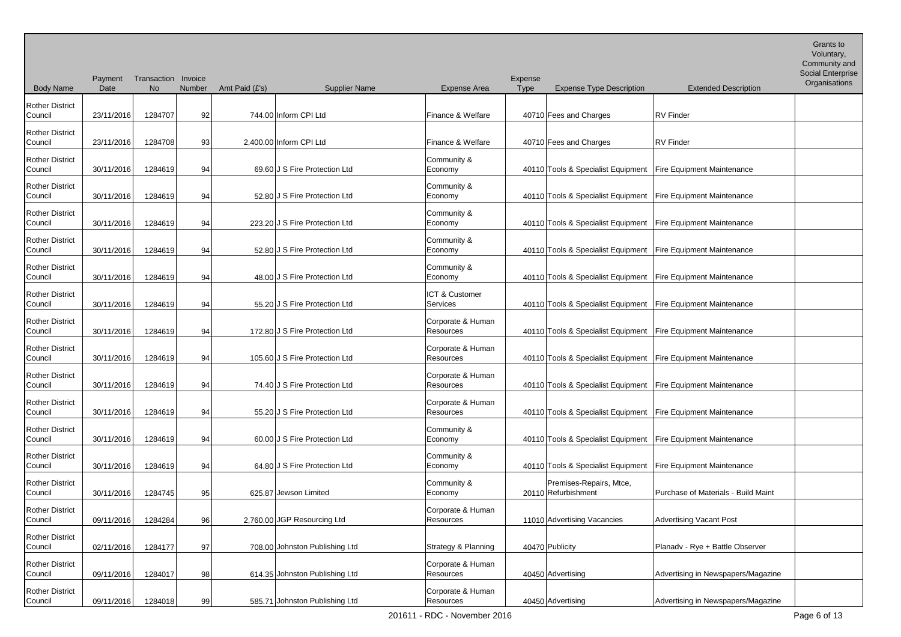Body Name Payment Transaction Invoice Date No Number Amt Paid (£'s) Supplier Name Expense Area Expense Type Expense Type Description Extended Description Voluntary, Community and Social Enterprise **Organisations** Rother District Council | 23/11/2016 1284707 92 744.00 Inform CPI Ltd Finance & Welfare 40710 Fees and Charges RV Finder Rother District Council 23/11/2016 1284708 93 2,400.00 Inform CPI Ltd Finance & Welfare 40710 Fees and Charges RV Finder Rother District Council 30/11/2016 1284619 94 69.60 J S Fire Protection Ltd Community & Economy 1990 40110 Tools & Specialist Equipment Fire Equipment Maintenance Rother District Council 30/11/2016 1284619 94 52.80 J S Fire Protection Ltd Community & Economy 199110 Tools & Specialist Equipment Fire Equipment Maintenance Rother District Council 30/11/2016 1284619 94 223.20 J S Fire Protection Ltd Community & Economy 199110 Tools & Specialist Equipment Fire Equipment Maintenance Rother District Council 30/11/2016 1284619 94 52.80 J S Fire Protection Ltd Community & Economy 199110 Tools & Specialist Equipment Fire Equipment Maintenance Rother District Council 30/11/2016 1284619 94 48.00 J S Fire Protection Ltd Community & Economy 1990 40110 Tools & Specialist Equipment Fire Equipment Maintenance Rother District Council 30/11/2016 1284619 94 55.20 J S Fire Protection Ltd ICT & Customer Services 1992 40110 Tools & Specialist Equipment Fire Equipment Maintenance Rother District Council 30/11/2016 1284619 94 172.80 J S Fire Protection Ltd Corporate & Human Resources 1.10 40110 Tools & Specialist Equipment Fire Equipment Maintenance Rother District Council 30/11/2016 1284619 94 105.60 J S Fire Protection Ltd Corporate & Human Resources 40110 Tools & Specialist Equipment Fire Equipment Maintenance Rother District Council 30/11/2016 1284619 94 74.40 J S Fire Protection Ltd Corporate & Human Resources 1.10 40110 Tools & Specialist Equipment Fire Equipment Maintenance Rother District Council 30/11/2016 1284619 94 55.20 J S Fire Protection Ltd Corporate & Human Resources 1.10 40110 Tools & Specialist Equipment Fire Equipment Maintenance Rother District Council 30/11/2016 1284619 94 60.00 J S Fire Protection Ltd Community & Economy 199110 Tools & Specialist Equipment Fire Equipment Maintenance Rother District Council 30/11/2016 1284619 94 64.80 J S Fire Protection Ltd Community & Economy 199110 Tools & Specialist Equipment Fire Equipment Maintenance Rother District Council 30/11/2016 1284745 95 625.87 Jewson Limited Community & Economy 20110 Refurbishment Premises-Repairs, Mtce, Purchase of Materials - Build Maint Rother District Council 09/11/2016 1284284 96 2,760.00 JGP Resourcing Ltd Corporate & Human Resources 11010 Advertising Vacancies Advertising Vacant Post Rother District Council 02/11/2016 1284177 97 708.00 Johnston Publishing Ltd Strategy & Planning 40470 Publicity Planadv - Rye + Battle Observer Rother District Council 09/11/2016 1284017 98 614.35 Johnston Publishing Ltd Corporate & Human Resources 1999 40450 Advertising Advertising Advertising in Newspapers/Magazine Rother District Council 09/11/2016 1284018 99 585.71 Johnston Publishing Ltd Corporate & Human Resources 19950 Advertising Advertising Advertising Advertising in Newspapers/Magazine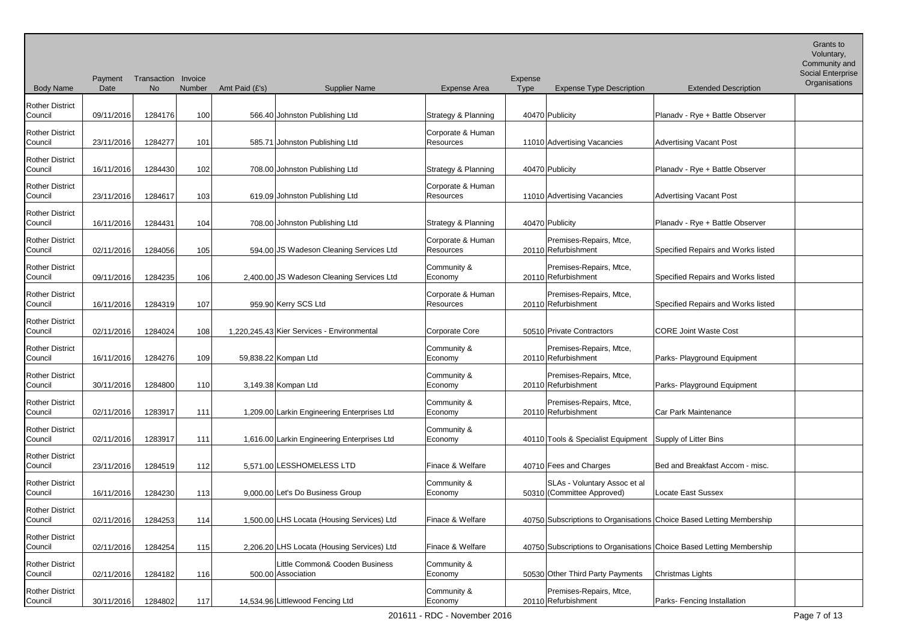Body Name Payment Transaction Invoice Date No Number Amt Paid (£'s) Supplier Name Expense Area Expense Type Expense Type Description Extended Description Voluntary, Community and Social Enterprise **Organisations** Rother District Council | 09/11/2016 1284176 100 566.40 Johnston Publishing Ltd Strategy & Planning | 40470 Publicity | Planadv - Rye + Battle Observer Rother District Council 23/11/2016 1284277 101 585.71 Johnston Publishing Ltd Corporate & Human Resources 11010 Advertising Vacancies Advertising Vacant Post Rother District Council | 16/11/2016 1284430 102 708.00 Johnston Publishing Ltd Strategy & Planning | 40470 Publicity | Planadv - Rye + Battle Observer Rother District Council 23/11/2016 1284617 103 619.09 Johnston Publishing Ltd Corporate & Human Resources 11010 Advertising Vacancies Advertising Vacant Post Rother District Council 16/11/2016 1284431 104 708.00 Johnston Publishing Ltd Strategy & Planning 40470 Publicity Planadv - Rye + Battle Observer Rother District Council 102/11/2016 1284056 105 594.00 JS Wadeson Cleaning Services Ltd Corporate & Human Resources 20110 Refurbishment Premises-Repairs, Mtce, Specified Repairs and Works listed Rother District Council 09/11/2016 1284235 106 2,400.00 JS Wadeson Cleaning Services Ltd Community & Economy 20110 Refurbishment Premises-Repairs, Mtce, Specified Repairs and Works listed Rother District Council 16/11/2016 1284319 107 959.90 Kerry SCS Ltd Corporate & Human Resources 1 20110 Refurbishment Premises-Repairs, Mtce, **Specified Repairs and Works listed** Rother District Council | 02/11/2016 1284024 108 1,220,245.43 Kier Services - Environmental Corporate Core | 50510 Private Contractors CORE Joint Waste Cost Rother District Council 16/11/2016 1284276 109 59,838.22 Kompan Ltd Community & Economy 20110 Refurbishment Premises-Repairs, Mtce, Parks- Playground Equipment Rother District Council 30/11/2016 1284800 110 3,149.38 Kompan Ltd Community & Economy 20110 Refurbishment Premises-Repairs, Mtce, Parks- Playground Equipment Rother District Council | 02/11/2016 | 1283917 | 111 | 1,209.00 Larkin Engineering Enterprises Ltd Community & Economy 20110 Refurbishment Premises-Repairs, Mtce, Car Park Maintenance Rother District Council | 02/11/2016 | 1283917 | 111 | 1,616.00 Larkin Engineering Enterprises Ltd Community & Economy 10110 Tools & Specialist Equipment Supply of Litter Bins Rother District Council 23/11/2016 1284519 112 5,571.00 LESSHOMELESS LTD Finace & Welfare 40710 Fees and Charges Bed and Breakfast Accom - misc. Rother District Council 16/11/2016 1284230 113 9,000.00 Let's Do Business Group Community & Economy SLAs - Voluntary Assoc et al (Committee Approved) Locate East Sussex Rother District Council 02/11/2016 1284253 114 1,500.00 LHS Locata (Housing Services) Ltd Finace & Welfare 40750 Subscriptions to Organisations Choice Based Letting Membership Rother District Council 02/11/2016 1284254 115 2,206.20 LHS Locata (Housing Services) Ltd Finace & Welfare 40750 Subscriptions to Organisations Choice Based Letting Membership Rother District Council | 02/11/2016 1284182 116 Little Common& Cooden Business 500.00 Association Community & Economy 1986 50530 Other Third Party Payments Christmas Lights Rother District Council 30/11/2016 1284802 117 14,534.96 Littlewood Fencing Ltd Community & Economy 20110 Refurbishment Premises-Repairs, Mtce, Parks- Fencing Installation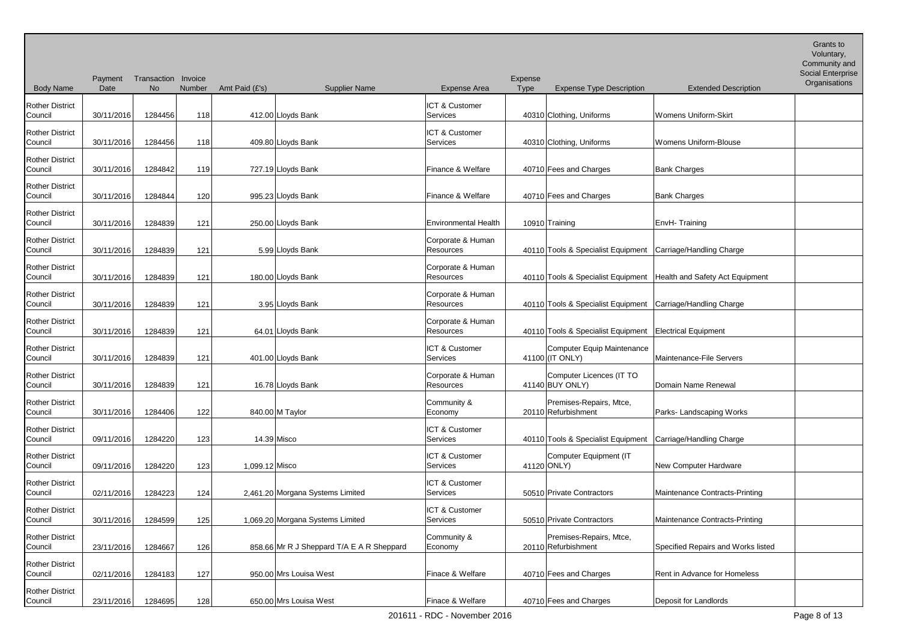Body Name Payment Transaction Invoice Date No Number Amt Paid (£'s) Supplier Name Expense Area Expense Type Expense Type Description Extended Description Voluntary, Community and Social Enterprise **Organisations** Rother District Council 130/11/2016 1284456 118 412.00 Lloyds Bank ICT & Customer Services 40310 Clothing, Uniforms Womens Uniform-Skirt Rother District Council 30/11/2016 1284456 118 409.80 Lloyds Bank ICT & Customer Services 100310 Clothing, Uniforms Womens Uniform-Blouse Rother District Council | 30/11/2016 1284842 119 727.19 Lloyds Bank Finance & Welfare 40710 Fees and Charges Bank Charges Bank Charges Rother District Council | 30/11/2016 1284844 120 995.23 Lloyds Bank Finance & Welfare 40710 Fees and Charges Bank Charges Bank Charges Rother District Council 30/11/2016 1284839 121 250.00 Lloyds Bank Environmental Health 10910 Training EnvH- Training Rother District Council 30/11/2016 1284839 121 5.99 Lloyds Bank Corporate & Human Resources 1986 40110 Tools & Specialist Equipment Carriage/Handling Charge Rother District Council 130/11/2016 1284839 121 180.00 Lloyds Bank Corporate & Human Resources 1986 40110 Tools & Specialist Equipment Health and Safety Act Equipment Rother District Council 30/11/2016 1284839 121 3.95 Lloyds Bank Corporate & Human Resources 1.10 40110 Tools & Specialist Equipment Carriage/Handling Charge Rother District Council | 30/11/2016 1284839 121 64.01 Lloyds Bank Corporate & Human Resources 100110 Tools & Specialist Equipment Electrical Equipment Rother District Council 30/11/2016 1284839 121 401.00 Lloyds Bank ICT & Customer Services 141100 (IT ONLY) Computer Equip Maintenance Maintenance-File Servers Rother District Council 30/11/2016 1284839 121 16.78 Lloyds Bank Corporate & Human Resources 141140 BUY ONLY) Computer Licences (IT TO Domain Name Renewal Rother District Council | 30/11/2016 1284406 122 840.00 M Taylor Community & Economy 20110 Refurbishment Premises-Repairs, Mtce, Parks- Landscaping Works Rother District Council 09/11/2016 1284220 123 14.39 Misco ICT & Customer Services 1986 40110 Tools & Specialist Equipment Carriage/Handling Charge Rother District Council 09/11/2016 1284220 123 1,099.12 Misco ICT & Customer Services | 41120 ONLY) Computer Equipment (IT **New Computer Hardware** Rother District Council 102/11/2016 1284223 124 2,461.20 Morgana Systems Limited ICT & Customer Services 195510 Private Contractors Maintenance Contracts-Printing Rother District Council 30/11/2016 1284599 125 1,069.20 Morgana Systems Limited ICT & Customer Services 50510 Private Contractors Maintenance Contracts-Printing Rother District Council 23/11/2016 1284667 126 858.66 Mr R J Sheppard T/A E A R Sheppard Community & Economy 20110 Refurbishment Premises-Repairs, Mtce, Specified Repairs and Works listed Rother District Council 02/11/2016 1284183 127 950.00 Mrs Louisa West Finace & Welfare 40710 Fees and Charges Rent in Advance for Homeless Rother District Council 23/11/2016 1284695 128 650.00 Mrs Louisa West Finace & Welfare 40710 Fees and Charges Deposit for Landlords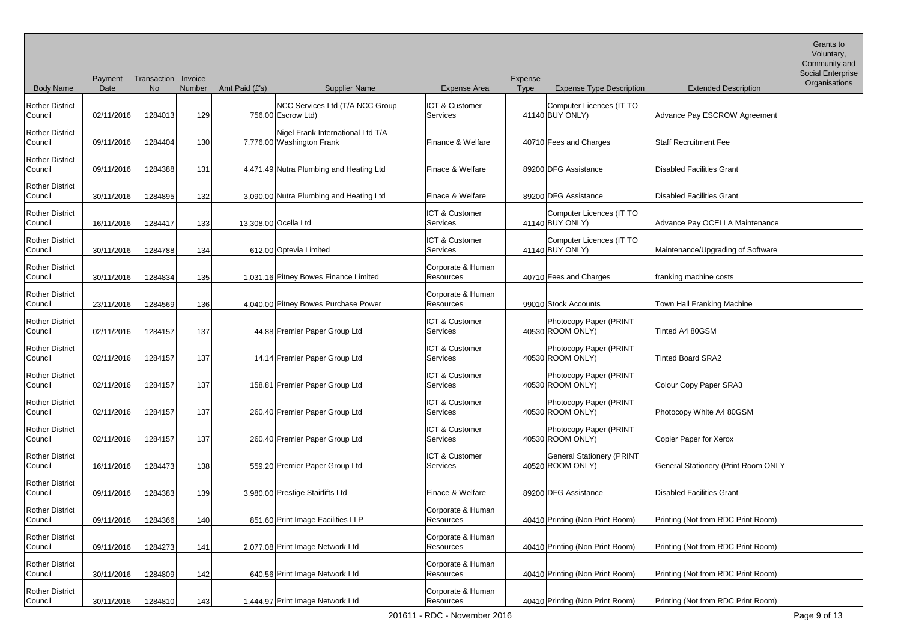Grants to Voluntary,

| <b>Body Name</b>                  | Payment<br>Date | Transaction Invoice<br><b>No</b> | Number | Amt Paid (£'s) | <b>Supplier Name</b>                                           | <b>Expense Area</b>                   | Expense<br><b>Type</b> | <b>Expense Type Description</b>                      | <b>Extended Description</b>                | Social Enterprise<br>Organisations |
|-----------------------------------|-----------------|----------------------------------|--------|----------------|----------------------------------------------------------------|---------------------------------------|------------------------|------------------------------------------------------|--------------------------------------------|------------------------------------|
| <b>Rother District</b><br>Council | 02/11/2016      | 1284013                          | 129    |                | NCC Services Ltd (T/A NCC Group<br>756.00 Escrow Ltd)          | ICT & Customer<br>Services            |                        | Computer Licences (IT TO<br>41140 BUY ONLY)          | Advance Pay ESCROW Agreement               |                                    |
| <b>Rother District</b><br>Council | 09/11/2016      | 1284404                          | 130    |                | Nigel Frank International Ltd T/A<br>7,776.00 Washington Frank | Finance & Welfare                     |                        | 40710 Fees and Charges                               | <b>Staff Recruitment Fee</b>               |                                    |
| <b>Rother District</b><br>Council | 09/11/2016      | 1284388                          | 131    |                | 4,471.49 Nutra Plumbing and Heating Ltd                        | Finace & Welfare                      |                        | 89200 DFG Assistance                                 | <b>Disabled Facilities Grant</b>           |                                    |
| <b>Rother District</b><br>Council | 30/11/2016      | 1284895                          | 132    |                | 3,090.00 Nutra Plumbing and Heating Ltd                        | Finace & Welfare                      |                        | 89200 DFG Assistance                                 | <b>Disabled Facilities Grant</b>           |                                    |
| <b>Rother District</b><br>Council | 16/11/2016      | 1284417                          | 133    |                | 13,308.00 Ocella Ltd                                           | ICT & Customer<br>Services            |                        | Computer Licences (IT TO<br>41140 BUY ONLY)          | Advance Pay OCELLA Maintenance             |                                    |
| <b>Rother District</b><br>Council | 30/11/2016      | 1284788                          | 134    |                | 612.00 Optevia Limited                                         | ICT & Customer<br>Services            |                        | Computer Licences (IT TO<br>41140 BUY ONLY)          | Maintenance/Upgrading of Software          |                                    |
| <b>Rother District</b><br>Council | 30/11/2016      | 1284834                          | 135    |                | 1,031.16 Pitney Bowes Finance Limited                          | Corporate & Human<br><b>Resources</b> |                        | 40710 Fees and Charges                               | franking machine costs                     |                                    |
| <b>Rother District</b><br>Council | 23/11/2016      | 1284569                          | 136    |                | 4,040.00 Pitney Bowes Purchase Power                           | Corporate & Human<br>Resources        |                        | 99010 Stock Accounts                                 | Town Hall Franking Machine                 |                                    |
| <b>Rother District</b><br>Council | 02/11/2016      | 1284157                          | 137    |                | 44.88 Premier Paper Group Ltd                                  | ICT & Customer<br>Services            |                        | Photocopy Paper (PRINT<br>40530 ROOM ONLY)           | Tinted A4 80GSM                            |                                    |
| <b>Rother District</b><br>Council | 02/11/2016      | 1284157                          | 137    |                | 14.14 Premier Paper Group Ltd                                  | ICT & Customer<br>Services            |                        | Photocopy Paper (PRINT<br>40530 ROOM ONLY)           | <b>Tinted Board SRA2</b>                   |                                    |
| <b>Rother District</b><br>Council | 02/11/2016      | 1284157                          | 137    |                | 158.81 Premier Paper Group Ltd                                 | ICT & Customer<br>Services            |                        | Photocopy Paper (PRINT<br>40530 ROOM ONLY)           | Colour Copy Paper SRA3                     |                                    |
| <b>Rother District</b><br>Council | 02/11/2016      | 1284157                          | 137    |                | 260.40 Premier Paper Group Ltd                                 | <b>ICT &amp; Customer</b><br>Services |                        | Photocopy Paper (PRINT<br>40530 ROOM ONLY)           | Photocopy White A4 80GSM                   |                                    |
| <b>Rother District</b><br>Council | 02/11/2016      | 1284157                          | 137    |                | 260.40 Premier Paper Group Ltd                                 | ICT & Customer<br>Services            |                        | Photocopy Paper (PRINT<br>40530 ROOM ONLY)           | Copier Paper for Xerox                     |                                    |
| <b>Rother District</b><br>Council | 16/11/2016      | 1284473                          | 138    |                | 559.20 Premier Paper Group Ltd                                 | <b>ICT &amp; Customer</b><br>Services |                        | <b>General Stationery (PRINT</b><br>40520 ROOM ONLY) | <b>General Stationery (Print Room ONLY</b> |                                    |
| <b>Rother District</b><br>Council | 09/11/2016      | 1284383                          | 139    |                | 3,980.00 Prestige Stairlifts Ltd                               | Finace & Welfare                      |                        | 89200 DFG Assistance                                 | <b>Disabled Facilities Grant</b>           |                                    |
| <b>Rother District</b><br>Council | 09/11/2016      | 1284366                          | 140    |                | 851.60 Print Image Facilities LLP                              | Corporate & Human<br>Resources        |                        | 40410 Printing (Non Print Room)                      | Printing (Not from RDC Print Room)         |                                    |
| <b>Rother District</b><br>Council | 09/11/2016      | 1284273                          | 141    |                | 2,077.08 Print Image Network Ltd                               | Corporate & Human<br>Resources        |                        | 40410 Printing (Non Print Room)                      | Printing (Not from RDC Print Room)         |                                    |
| <b>Rother District</b><br>Council | 30/11/2016      | 1284809                          | 142    |                | 640.56 Print Image Network Ltd                                 | Corporate & Human<br>Resources        |                        | 40410 Printing (Non Print Room)                      | Printing (Not from RDC Print Room)         |                                    |
| <b>Rother District</b><br>Council | 30/11/2016      | 1284810                          | 143    |                | 1,444.97 Print Image Network Ltd                               | Corporate & Human<br>Resources        |                        | 40410 Printing (Non Print Room)                      | Printing (Not from RDC Print Room)         |                                    |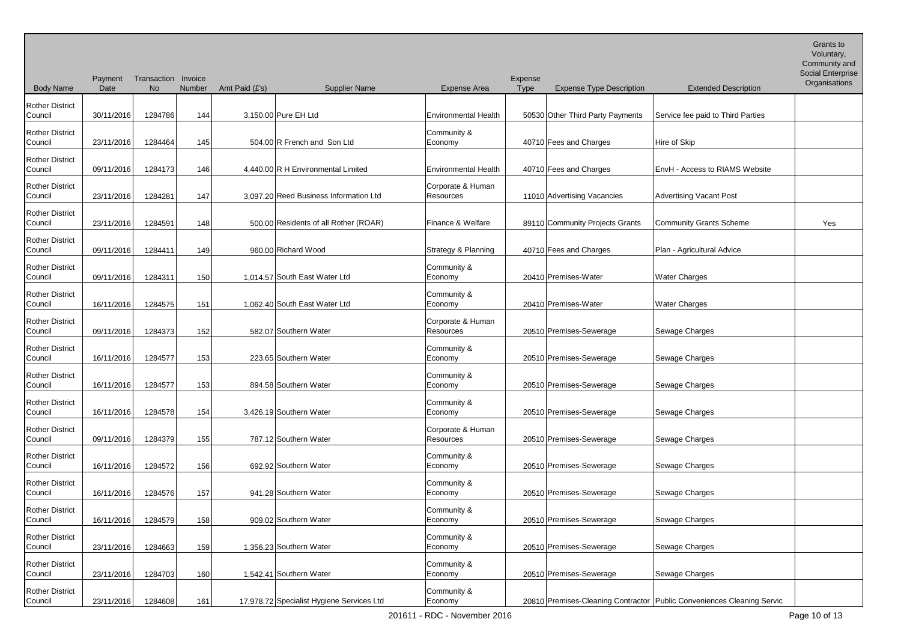Body Name Payment Transaction Invoice Date No Number Amt Paid (£'s) Supplier Name Expense Area Expense Type Expense Type Description Extended Description Voluntary, Community and Social Enterprise **Organisations** Rother District Council | 30/11/2016 1284786 144 3,150.00 Pure EH Ltd | Environmental Health | 50530 Other Third Party Payments Service fee paid to Third Parties Rother District Council 23/11/2016 1284464 145 504.00 R French and Son Ltd Community & Economy 10710 Fees and Charges Hire of Skip Rother District Council 09/11/2016 1284173 146 4,440.00 R H Environmental Limited Environmental Health 40710 Fees and Charges EnvH - Access to RIAMS Website Rother District Council 23/11/2016 1284281 147 3,097.20 Reed Business Information Ltd Corporate & Human Resources 11010 Advertising Vacancies Advertising Vacant Post Rother District Council | 23/11/2016 1284591 148 500.00 Residents of all Rother (ROAR) Finance & Welfare | 89110 Community Projects Grants Community Grants Scheme | Yes Rother District Council 09/11/2016 1284411 149 960.00 Richard Wood Strategy & Planning 40710 Fees and Charges Plan - Agricultural Advice Rother District Council 09/11/2016 1284311 150 1,014.57 South East Water Ltd Community & Economy 20410 Premises-Water Water Water Charges Rother District Council 16/11/2016 1284575 151 1,062.40 South East Water Ltd Community & Economy 20410 Premises-Water Water Water Charges Rother District Council | 09/11/2016 1284373 152 582.07 Southern Water Corporate & Human Resources 1980 20510 Premises-Sewerage Sewage Charges Rother District Council 16/11/2016 1284577 153 223.65 Southern Water Community & Economy 1990 | 20510 Premises-Sewerage Sewerage Sewage Charges Rother District Council 16/11/2016 1284577 153 894.58 Southern Water Community & Economy 1990-10-20510 Premises-Sewerage Sewage Charges Rother District Council 16/11/2016 1284578 154 3,426.19 Southern Water Community & Economy 20510 Premises-Sewerage Sewage Charges Rother District Council | 09/11/2016 1284379 155 787.12 Southern Water Corporate & Human Resources 1. 20510 Premises-Sewerage Sewage Charges Rother District Council 16/11/2016 1284572 156 692.92 Southern Water Community & Economy 20510 Premises-Sewerage Sewage Charges Rother District Council | 16/11/2016 | 1284576 | 157 | 941.28 Southern Water Community & Economy 20510 Premises-Sewerage Sewage Charges Rother District Council 16/11/2016 1284579 158 909.02 Southern Water Community & Economy 20510 Premises-Sewerage Sewage Charges Rother District Council 23/11/2016 1284663 159 1,356.23 Southern Water Community & Economy 1990 | 20510 Premises-Sewerage Sewage Charges Rother District Council | 23/11/2016 | 1284703 | 160 | 1,542.41 Southern Water Community & Economy 20510 Premises-Sewerage Sewage Charges Rother District Council 23/11/2016 1284608 161 17,978.72 Specialist Hygiene Services Ltd Community & Economy 20810 Premises-Cleaning Contractor Public Conveniences Cleaning Servic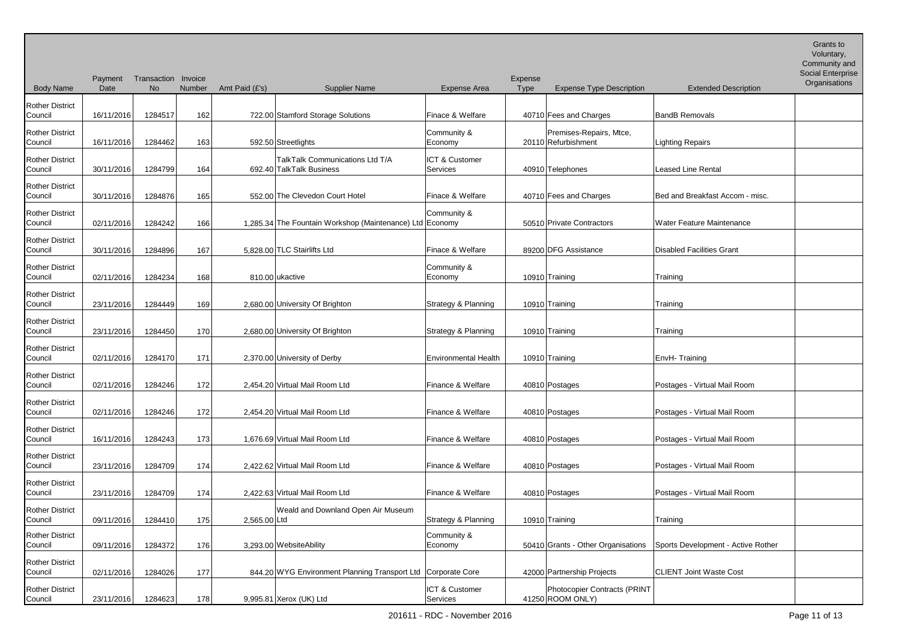Body Name Payment Transaction Invoice Date No Number Amt Paid (£'s) Supplier Name Expense Area Expense Type Expense Type Description Extended Description Voluntary, Community and Social Enterprise **Organisations** Rother District Council | 16/11/2016 1284517 162 722.00 Stamford Storage Solutions | Finace & Welfare | 40710 Fees and Charges | BandB Removals Rother District Council 16/11/2016 1284462 163 592.50 Streetlights Community & Economy 20110 Refurbishment Premises-Repairs, Mtce, Lighting Repairs Rother District Council | 30/11/2016 1284799 164 TalkTalk Communications Ltd T/A 692.40 TalkTalk Business ICT & Customer Services 40910 Telephones Leased Line Rental Rother District Council | 30/11/2016 1284876 165 552.00 The Clevedon Court Hotel Finace & Welfare 40710 Fees and Charges Bed and Breakfast Accom - misc. Rother District Council 102/11/2016 1284242 166 1,285.34 The Fountain Workshop (Maintenance) Ltd Economy Community & 50510 Private Contractors Mater Feature Maintenance Rother District Council 130/11/2016 1284896 167 5,828.00 TLC Stairlifts Ltd Finace & Welfare 89200 DFG Assistance Disabled Facilities Grant Rother District Council 02/11/2016 1284234 168 810.00 ukactive Community & Economy 10910 Training Training Training Rother District Council 23/11/2016 1284449 169 2,680.00 University Of Brighton Strategy & Planning 10910 Training Training Training Rother District Council 23/11/2016 1284450 170 2,680.00 University Of Brighton Strategy & Planning 10910 Training Training Training Rother District Council | 02/11/2016 1284170 171 2,370.00 University of Derby Environmental Health 10910 Training EnvH- Training Rother District Council | 02/11/2016 1284246 172 2,454.20 Virtual Mail Room Ltd Finance & Welfare 40810 Postages Postages - Virtual Mail Room Rother District Council | 02/11/2016 1284246 172 2,454.20 Virtual Mail Room Ltd Finance & Welfare 40810 Postages Postages - Virtual Mail Room Rother District Council 16/11/2016 1284243 173 1,676.69 Virtual Mail Room Ltd Finance & Welfare 40810 Postages Postages Pirtual Mail Room Rother District Council 23/11/2016 1284709 174 2,422.62 Virtual Mail Room Ltd Finance & Welfare 40810 Postages Postages Pirtual Mail Room Rother District Council 23/11/2016 1284709 174 2,422.63 Virtual Mail Room Ltd Finance & Welfare 40810 Postages Postages - Virtual Mail Room Rother District Council | 09/11/2016 1284410 175 2,565.00 Ltd Weald and Downland Open Air Museum Strategy & Planning | 10910 Training | Training Rother District Council 09/11/2016 1284372 176 3,293.00 WebsiteAbility Community & Economy **1988** 50410 Grants - Other Organisations Sports Development - Active Rother Rother District Council 02/11/2016 1284026 177 844.20 WYG Environment Planning Transport Ltd Corporate Core 42000 Partnership Projects CLIENT Joint Waste Cost

ICT & Customer Services

Photocopier Contracts (PRINT

41250 ROOM ONLY)

Rother District

Council 23/11/2016 1284623 178 9,995.81 Xerox (UK) Ltd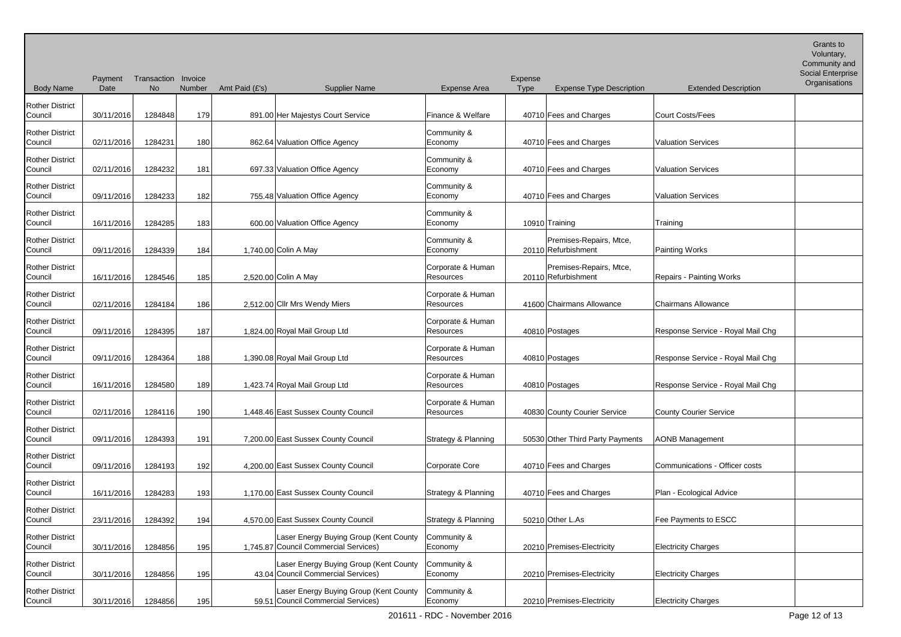| <b>Body Name</b>                  | Payment<br>Date | Transaction Invoice<br>No | Number | Amt Paid (£'s) | <b>Supplier Name</b>                                                            | <b>Expense Area</b>                   | Expense<br><b>Type</b> | <b>Expense Type Description</b>                | <b>Extended Description</b>       | Community and<br>Social Enterprise<br>Organisations |
|-----------------------------------|-----------------|---------------------------|--------|----------------|---------------------------------------------------------------------------------|---------------------------------------|------------------------|------------------------------------------------|-----------------------------------|-----------------------------------------------------|
|                                   |                 |                           |        |                |                                                                                 |                                       |                        |                                                |                                   |                                                     |
| <b>Rother District</b><br>Council | 30/11/2016      | 1284848                   | 179    |                | 891.00 Her Majestys Court Service                                               | Finance & Welfare                     |                        | 40710 Fees and Charges                         | Court Costs/Fees                  |                                                     |
| <b>Rother District</b><br>Council | 02/11/2016      | 1284231                   | 180    |                | 862.64 Valuation Office Agency                                                  | Community &<br>Economy                |                        | 40710 Fees and Charges                         | <b>Valuation Services</b>         |                                                     |
| <b>Rother District</b><br>Council | 02/11/2016      | 1284232                   | 181    |                | 697.33 Valuation Office Agency                                                  | Community &<br>Economy                |                        | 40710 Fees and Charges                         | <b>Valuation Services</b>         |                                                     |
| <b>Rother District</b><br>Council | 09/11/2016      | 1284233                   | 182    |                | 755.48 Valuation Office Agency                                                  | Community &<br>Economy                |                        | 40710 Fees and Charges                         | <b>Valuation Services</b>         |                                                     |
| <b>Rother District</b><br>Council | 16/11/2016      | 1284285                   | 183    |                | 600.00 Valuation Office Agency                                                  | Community &<br>Economy                |                        | 10910 Training                                 | Training                          |                                                     |
| <b>Rother District</b><br>Council | 09/11/2016      | 1284339                   | 184    |                | 1,740.00 Colin A May                                                            | Community &<br>Economy                |                        | Premises-Repairs, Mtce,<br>20110 Refurbishment | Painting Works                    |                                                     |
| <b>Rother District</b><br>Council | 16/11/2016      | 1284546                   | 185    |                | 2,520.00 Colin A May                                                            | Corporate & Human<br>Resources        |                        | Premises-Repairs, Mtce,<br>20110 Refurbishment | Repairs - Painting Works          |                                                     |
| <b>Rother District</b><br>Council | 02/11/2016      | 1284184                   | 186    |                | 2,512.00 Cllr Mrs Wendy Miers                                                   | Corporate & Human<br>Resources        |                        | 41600 Chairmans Allowance                      | Chairmans Allowance               |                                                     |
| <b>Rother District</b><br>Council | 09/11/2016      | 1284395                   | 187    |                | 1,824.00 Royal Mail Group Ltd                                                   | Corporate & Human<br><b>Resources</b> |                        | 40810 Postages                                 | Response Service - Royal Mail Chg |                                                     |
| <b>Rother District</b><br>Council | 09/11/2016      | 1284364                   | 188    |                | 1,390.08 Royal Mail Group Ltd                                                   | Corporate & Human<br>Resources        |                        | 40810 Postages                                 | Response Service - Royal Mail Chg |                                                     |
| <b>Rother District</b><br>Council | 16/11/2016      | 1284580                   | 189    |                | 1,423.74 Royal Mail Group Ltd                                                   | Corporate & Human<br><b>Resources</b> |                        | 40810 Postages                                 | Response Service - Royal Mail Chg |                                                     |
| <b>Rother District</b><br>Council | 02/11/2016      | 1284116                   | 190    |                | 1,448.46 East Sussex County Council                                             | Corporate & Human<br>Resources        |                        | 40830 County Courier Service                   | County Courier Service            |                                                     |
| <b>Rother District</b><br>Council | 09/11/2016      | 1284393                   | 191    |                | 7,200.00 East Sussex County Council                                             | Strategy & Planning                   |                        | 50530 Other Third Party Payments               | AONB Management                   |                                                     |
| <b>Rother District</b><br>Council | 09/11/2016      | 1284193                   | 192    |                | 4,200.00 East Sussex County Council                                             | Corporate Core                        |                        | 40710 Fees and Charges                         | Communications - Officer costs    |                                                     |
| <b>Rother District</b><br>Council | 16/11/2016      | 1284283                   | 193    |                | 1,170.00 East Sussex County Council                                             | Strategy & Planning                   |                        | 40710 Fees and Charges                         | Plan - Ecological Advice          |                                                     |
| <b>Rother District</b><br>Council | 23/11/2016      | 1284392                   | 194    |                | 4,570.00 East Sussex County Council                                             | Strategy & Planning                   |                        | 50210 Other L.As                               | Fee Payments to ESCC              |                                                     |
| <b>Rother District</b><br>Council | 30/11/2016      | 1284856                   | 195    |                | Laser Energy Buying Group (Kent County<br>1,745.87 Council Commercial Services) | Community &<br>Economy                |                        | 20210 Premises-Electricity                     | <b>Electricity Charges</b>        |                                                     |
| <b>Rother District</b><br>Council | 30/11/2016      | 1284856                   | 195    |                | Laser Energy Buying Group (Kent County<br>43.04 Council Commercial Services)    | Community &<br>Economy                |                        | 20210 Premises-Electricity                     | <b>Electricity Charges</b>        |                                                     |
| <b>Rother District</b><br>Council | 30/11/2016      | 1284856                   | 195    |                | Laser Energy Buying Group (Kent County<br>59.51 Council Commercial Services)    | Community &<br>Economy                |                        | 20210 Premises-Electricity                     | <b>Electricity Charges</b>        |                                                     |